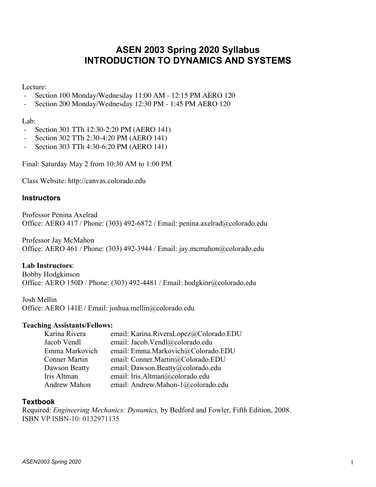# **ASEN 2003 Spring 2020 Syllabus INTRODUCTION TO DYNAMICS AND SYSTEMS**

Lecture:

- Section 100 Monday/Wednesday 11:00 AM 12:15 PM AERO 120
- Section 200 Monday/Wednesday 12:30 PM 1:45 PM AERO 120

Lab:

- Section 301 TTh 12:30-2:20 PM (AERO 141)
- Section 302 TTh 2:30-4:20 PM (AERO 141)
- Section 303 TTh 4:30-6:20 PM (AERO 141)

Final: Saturday May 2 from 10:30 AM to 1:00 PM

Class Website: http://canvas.colorado.edu

#### **Instructors**

Professor Penina Axelrad Office: AERO 417 / Phone: (303) 492-6872 / Email: penina.axelrad@colorado.edu

Professor Jay McMahon Office: AERO 461 / Phone: (303) 492-3944 / Email: jay.mcmahon@colorado.edu

**Lab Instructors**:

Bobby Hodgkinson Office: AERO 150D / Phone: (303) 492-4481 / Email: hodgkinr@colorado.edu

Josh Mellin Office: AERO 141E / Email: joshua.mellin@colorado.edu

#### **Teaching Assistants/Fellows:**

| email: Karina.RiveraLopez@Colorado.EDU |
|----------------------------------------|
| email: Jacob.Vendl@colorado.edu        |
| email: Emma.Markovich@Colorado.EDU     |
| email: Conner.Martin@Colorado.EDU      |
| email: Dawson.Beatty@colorado.edu      |
| email: Iris.Altman@colorado.edu        |
| email: Andrew.Mahon-1@colorado.edu     |
|                                        |

#### **Textbook**

Required: *Engineering Mechanics: Dynamics,* by Bedford and Fowler, Fifth Edition, 2008. ISBN VP ISBN-10: 0132971135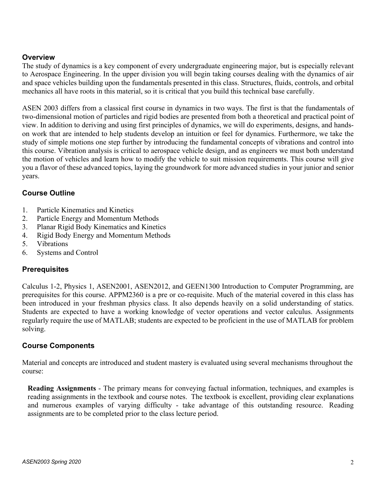### **Overview**

The study of dynamics is a key component of every undergraduate engineering major, but is especially relevant to Aerospace Engineering. In the upper division you will begin taking courses dealing with the dynamics of air and space vehicles building upon the fundamentals presented in this class. Structures, fluids, controls, and orbital mechanics all have roots in this material, so it is critical that you build this technical base carefully.

ASEN 2003 differs from a classical first course in dynamics in two ways. The first is that the fundamentals of two-dimensional motion of particles and rigid bodies are presented from both a theoretical and practical point of view. In addition to deriving and using first principles of dynamics, we will do experiments, designs, and handson work that are intended to help students develop an intuition or feel for dynamics. Furthermore, we take the study of simple motions one step further by introducing the fundamental concepts of vibrations and control into this course. Vibration analysis is critical to aerospace vehicle design, and as engineers we must both understand the motion of vehicles and learn how to modify the vehicle to suit mission requirements. This course will give you a flavor of these advanced topics, laying the groundwork for more advanced studies in your junior and senior years.

# **Course Outline**

- 1. Particle Kinematics and Kinetics
- 2. Particle Energy and Momentum Methods
- 3. Planar Rigid Body Kinematics and Kinetics
- 4. Rigid Body Energy and Momentum Methods
- 5. Vibrations
- 6. Systems and Control

# **Prerequisites**

Calculus 1-2, Physics 1, ASEN2001, ASEN2012, and GEEN1300 Introduction to Computer Programming, are prerequisites for this course. APPM2360 is a pre or co-requisite. Much of the material covered in this class has been introduced in your freshman physics class. It also depends heavily on a solid understanding of statics. Students are expected to have a working knowledge of vector operations and vector calculus. Assignments regularly require the use of MATLAB; students are expected to be proficient in the use of MATLAB for problem solving.

# **Course Components**

Material and concepts are introduced and student mastery is evaluated using several mechanisms throughout the course:

**Reading Assignments** - The primary means for conveying factual information, techniques, and examples is reading assignments in the textbook and course notes. The textbook is excellent, providing clear explanations and numerous examples of varying difficulty - take advantage of this outstanding resource. Reading assignments are to be completed prior to the class lecture period.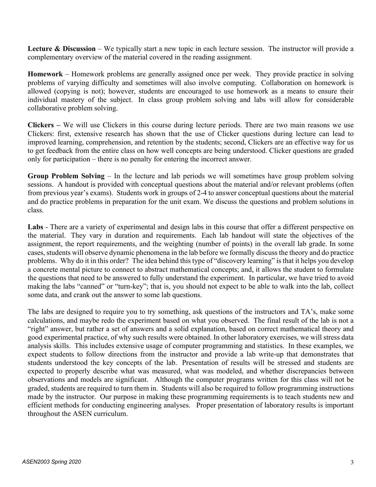**Lecture & Discussion** – We typically start a new topic in each lecture session. The instructor will provide a complementary overview of the material covered in the reading assignment.

**Homework** – Homework problems are generally assigned once per week. They provide practice in solving problems of varying difficulty and sometimes will also involve computing. Collaboration on homework is allowed (copying is not); however, students are encouraged to use homework as a means to ensure their individual mastery of the subject. In class group problem solving and labs will allow for considerable collaborative problem solving.

**Clickers –** We will use Clickers in this course during lecture periods. There are two main reasons we use Clickers: first, extensive research has shown that the use of Clicker questions during lecture can lead to improved learning, comprehension, and retention by the students; second, Clickers are an effective way for us to get feedback from the entire class on how well concepts are being understood. Clicker questions are graded only for participation – there is no penalty for entering the incorrect answer.

**Group Problem Solving** – In the lecture and lab periods we will sometimes have group problem solving sessions. A handout is provided with conceptual questions about the material and/or relevant problems (often from previous year's exams). Students work in groups of 2-4 to answer conceptual questions about the material and do practice problems in preparation for the unit exam. We discuss the questions and problem solutions in class.

**Labs** - There are a variety of experimental and design labs in this course that offer a different perspective on the material. They vary in duration and requirements. Each lab handout will state the objectives of the assignment, the report requirements, and the weighting (number of points) in the overall lab grade. In some cases, students will observe dynamic phenomena in the lab before we formally discuss the theory and do practice problems. Why do it in this order? The idea behind this type of "discovery learning" is that it helps you develop a concrete mental picture to connect to abstract mathematical concepts; and, it allows the student to formulate the questions that need to be answered to fully understand the experiment. In particular, we have tried to avoid making the labs "canned" or "turn-key"; that is, you should not expect to be able to walk into the lab, collect some data, and crank out the answer to some lab questions.

The labs are designed to require you to try something, ask questions of the instructors and TA's, make some calculations, and maybe redo the experiment based on what you observed. The final result of the lab is not a "right" answer, but rather a set of answers and a solid explanation, based on correct mathematical theory and good experimental practice, of why such results were obtained. In other laboratory exercises, we will stress data analysis skills. This includes extensive usage of computer programming and statistics. In these examples, we expect students to follow directions from the instructor and provide a lab write-up that demonstrates that students understood the key concepts of the lab. Presentation of results will be stressed and students are expected to properly describe what was measured, what was modeled, and whether discrepancies between observations and models are significant. Although the computer programs written for this class will not be graded, students are required to turn them in. Students will also be required to follow programming instructions made by the instructor. Our purpose in making these programming requirements is to teach students new and efficient methods for conducting engineering analyses. Proper presentation of laboratory results is important throughout the ASEN curriculum.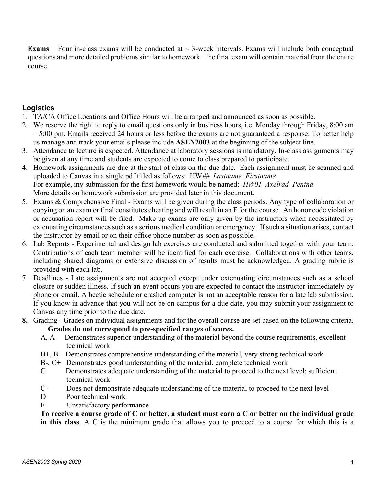**Exams** – Four in-class exams will be conducted at  $\sim$  3-week intervals. Exams will include both conceptual questions and more detailed problems similar to homework. The final exam will contain material from the entire course.

# **Logistics**

- 1. TA/CA Office Locations and Office Hours will be arranged and announced as soon as possible.
- 2. We reserve the right to reply to email questions only in business hours, i.e. Monday through Friday, 8:00 am – 5:00 pm. Emails received 24 hours or less before the exams are not guaranteed a response. To better help us manage and track your emails please include **ASEN2003** at the beginning of the subject line.
- 3. Attendance to lecture is expected. Attendance at laboratory sessions is mandatory. In-class assignments may be given at any time and students are expected to come to class prepared to participate.
- 4. Homework assignments are due at the start of class on the due date. Each assignment must be scanned and uploaded to Canvas in a single pdf titled as follows: HW*##\_Lastname\_Firstname*  For example, my submission for the first homework would be named: *HW01\_Axelrad\_Penina* More details on homework submission are provided later in this document.
- 5. Exams & Comprehensive Final Exams will be given during the class periods. Any type of collaboration or copying on an exam or final constitutes cheating and will result in an F for the course. An honor code violation or accusation report will be filed. Make-up exams are only given by the instructors when necessitated by extenuating circumstances such as a serious medical condition or emergency. If such a situation arises, contact the instructor by email or on their office phone number as soon as possible.
- 6. Lab Reports Experimental and design lab exercises are conducted and submitted together with your team. Contributions of each team member will be identified for each exercise. Collaborations with other teams, including shared diagrams or extensive discussion of results must be acknowledged. A grading rubric is provided with each lab.
- 7. Deadlines Late assignments are not accepted except under extenuating circumstances such as a school closure or sudden illness. If such an event occurs you are expected to contact the instructor immediately by phone or email. A hectic schedule or crashed computer is not an acceptable reason for a late lab submission. If you know in advance that you will not be on campus for a due date, you may submit your assignment to Canvas any time prior to the due date.
- **8.** Grading Grades on individual assignments and for the overall course are set based on the following criteria. **Grades do not correspond to pre-specified ranges of scores.**
	- A, A- Demonstrates superior understanding of the material beyond the course requirements, excellent technical work
	- B+, B Demonstrates comprehensive understanding of the material, very strong technical work
	- B-, C+ Demonstrates good understanding of the material, complete technical work
	- C Demonstrates adequate understanding of the material to proceed to the next level; sufficient technical work
	- C- Does not demonstrate adequate understanding of the material to proceed to the next level
	- D Poor technical work
	- F Unsatisfactory performance

To receive a course grade of C or better, a student must earn a C or better on the individual grade **in this class**. A C is the minimum grade that allows you to proceed to a course for which this is a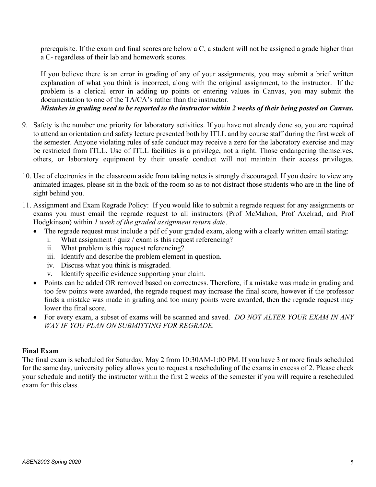prerequisite. If the exam and final scores are below a C, a student will not be assigned a grade higher than a C- regardless of their lab and homework scores.

If you believe there is an error in grading of any of your assignments, you may submit a brief written explanation of what you think is incorrect, along with the original assignment, to the instructor. If the problem is a clerical error in adding up points or entering values in Canvas, you may submit the documentation to one of the TA/CA's rather than the instructor.

### Mistakes in grading need to be reported to the instructor within 2 weeks of their being posted on Canvas.

- 9. Safety is the number one priority for laboratory activities. If you have not already done so, you are required to attend an orientation and safety lecture presented both by ITLL and by course staff during the first week of the semester. Anyone violating rules of safe conduct may receive a zero for the laboratory exercise and may be restricted from ITLL. Use of ITLL facilities is a privilege, not a right. Those endangering themselves, others, or laboratory equipment by their unsafe conduct will not maintain their access privileges.
- 10. Use of electronics in the classroom aside from taking notes is strongly discouraged. If you desire to view any animated images, please sit in the back of the room so as to not distract those students who are in the line of sight behind you.
- 11. Assignment and Exam Regrade Policy: If you would like to submit a regrade request for any assignments or exams you must email the regrade request to all instructors (Prof McMahon, Prof Axelrad, and Prof Hodgkinson) within *1 week of the graded assignment return date*.
	- The regrade request must include a pdf of your graded exam, along with a clearly written email stating:
		- i. What assignment / quiz / exam is this request referencing?
		- ii. What problem is this request referencing?
		- iii. Identify and describe the problem element in question.
		- iv. Discuss what you think is misgraded.
		- v. Identify specific evidence supporting your claim.
	- Points can be added OR removed based on correctness. Therefore, if a mistake was made in grading and too few points were awarded, the regrade request may increase the final score, however if the professor finds a mistake was made in grading and too many points were awarded, then the regrade request may lower the final score.
	- For every exam, a subset of exams will be scanned and saved. *DO NOT ALTER YOUR EXAM IN ANY WAY IF YOU PLAN ON SUBMITTING FOR REGRADE.*

### **Final Exam**

The final exam is scheduled for Saturday, May 2 from 10:30AM-1:00 PM. If you have 3 or more finals scheduled for the same day, university policy allows you to request a rescheduling of the exams in excess of 2. Please check your schedule and notify the instructor within the first 2 weeks of the semester if you will require a rescheduled exam for this class.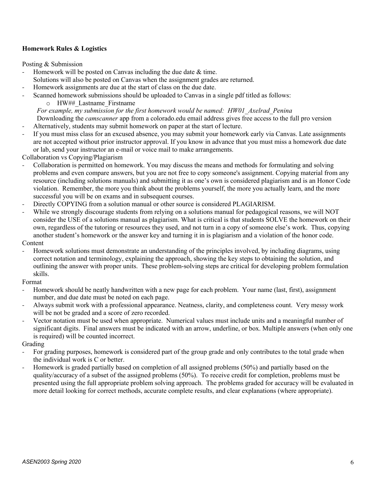#### **Homework Rules & Logistics**

Posting & Submission

- Homework will be posted on Canvas including the due date & time.
- Solutions will also be posted on Canvas when the assignment grades are returned.
- Homework assignments are due at the start of class on the due date.
- Scanned homework submissions should be uploaded to Canvas in a single pdf titled as follows:
	- o HW## Lastname Firstname

*For example, my submission for the first homework would be named: HW01\_Axelrad\_Penina* Downloading the *camscanner* app from a colorado.edu email address gives free access to the full pro version

- Alternatively, students may submit homework on paper at the start of lecture.
- If you must miss class for an excused absence, you may submit your homework early via Canvas. Late assignments are not accepted without prior instructor approval. If you know in advance that you must miss a homework due date or lab, send your instructor an e-mail or voice mail to make arrangements.

Collaboration vs Copying/Plagiarism

- Collaboration is permitted on homework. You may discuss the means and methods for formulating and solving problems and even compare answers, but you are not free to copy someone's assignment. Copying material from any resource (including solutions manuals) and submitting it as one's own is considered plagiarism and is an Honor Code violation. Remember, the more you think about the problems yourself, the more you actually learn, and the more successful you will be on exams and in subsequent courses.
- Directly COPYING from a solution manual or other source is considered PLAGIARISM.
- While we strongly discourage students from relying on a solutions manual for pedagogical reasons, we will NOT consider the USE of a solutions manual as plagiarism. What is critical is that students SOLVE the homework on their own, regardless of the tutoring or resources they used, and not turn in a copy of someone else's work. Thus, copying another student's homework or the answer key and turning it in is plagiarism and a violation of the honor code. Content
- Homework solutions must demonstrate an understanding of the principles involved, by including diagrams, using correct notation and terminology, explaining the approach, showing the key steps to obtaining the solution, and outlining the answer with proper units. These problem-solving steps are critical for developing problem formulation skills.

Format

- Homework should be neatly handwritten with a new page for each problem. Your name (last, first), assignment number, and due date must be noted on each page.
- Always submit work with a professional appearance. Neatness, clarity, and completeness count. Very messy work will be not be graded and a score of zero recorded.
- Vector notation must be used when appropriate. Numerical values must include units and a meaningful number of significant digits. Final answers must be indicated with an arrow, underline, or box. Multiple answers (when only one is required) will be counted incorrect.

Grading

- For grading purposes, homework is considered part of the group grade and only contributes to the total grade when the individual work is C or better.
- Homework is graded partially based on completion of all assigned problems (50%) and partially based on the quality/accuracy of a subset of the assigned problems (50%). To receive credit for completion, problems must be presented using the full appropriate problem solving approach. The problems graded for accuracy will be evaluated in more detail looking for correct methods, accurate complete results, and clear explanations (where appropriate).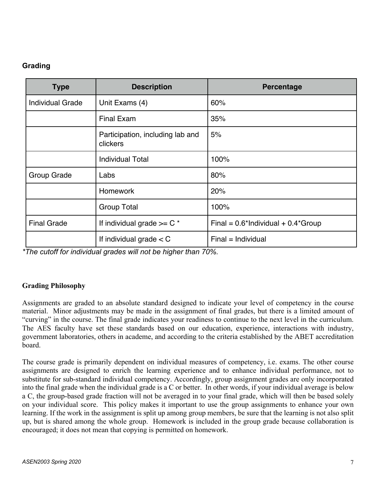# **Grading**

| <b>Type</b>             | <b>Description</b>                                  | Percentage                               |
|-------------------------|-----------------------------------------------------|------------------------------------------|
| <b>Individual Grade</b> | Unit Exams (4)                                      | 60%                                      |
|                         | <b>Final Exam</b>                                   | 35%                                      |
|                         | Participation, including lab and<br><b>clickers</b> | 5%                                       |
|                         | <b>Individual Total</b>                             | 100%                                     |
| Group Grade             | Labs                                                | 80%                                      |
|                         | <b>Homework</b>                                     | 20%                                      |
|                         | <b>Group Total</b>                                  | 100%                                     |
| <b>Final Grade</b>      | If individual grade $>= C^*$                        | Final = $0.6*$ Individual + $0.4*$ Group |
|                         | If individual grade $<$ C                           | $Final = Individual$                     |

*\*The cutoff for individual grades will not be higher than 70%.*

# **Grading Philosophy**

Assignments are graded to an absolute standard designed to indicate your level of competency in the course material. Minor adjustments may be made in the assignment of final grades, but there is a limited amount of "curving" in the course. The final grade indicates your readiness to continue to the next level in the curriculum. The AES faculty have set these standards based on our education, experience, interactions with industry, government laboratories, others in academe, and according to the criteria established by the ABET accreditation board.

The course grade is primarily dependent on individual measures of competency, i.e. exams. The other course assignments are designed to enrich the learning experience and to enhance individual performance, not to substitute for sub-standard individual competency. Accordingly, group assignment grades are only incorporated into the final grade when the individual grade is a C or better. In other words, if your individual average is below a C, the group-based grade fraction will not be averaged in to your final grade, which will then be based solely on your individual score. This policy makes it important to use the group assignments to enhance your own learning. If the work in the assignment is split up among group members, be sure that the learning is not also split up, but is shared among the whole group. Homework is included in the group grade because collaboration is encouraged; it does not mean that copying is permitted on homework.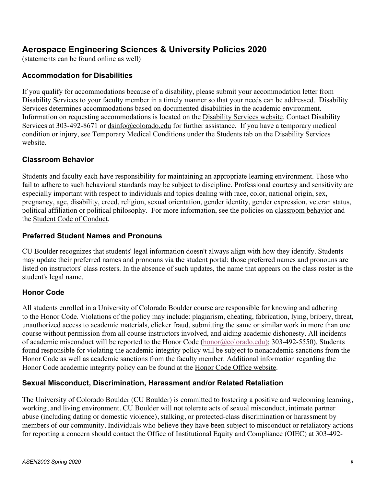# **Aerospace Engineering Sciences & University Policies 2020**

(statements can be found online as well)

### **Accommodation for Disabilities**

If you qualify for accommodations because of a disability, please submit your accommodation letter from Disability Services to your faculty member in a timely manner so that your needs can be addressed. Disability Services determines accommodations based on documented disabilities in the academic environment. Information on requesting accommodations is located on the Disability Services website. Contact Disability Services at 303-492-8671 or dsinfo@colorado.edu for further assistance. If you have a temporary medical condition or injury, see Temporary Medical Conditions under the Students tab on the Disability Services website.

### **Classroom Behavior**

Students and faculty each have responsibility for maintaining an appropriate learning environment. Those who fail to adhere to such behavioral standards may be subject to discipline. Professional courtesy and sensitivity are especially important with respect to individuals and topics dealing with race, color, national origin, sex, pregnancy, age, disability, creed, religion, sexual orientation, gender identity, gender expression, veteran status, political affiliation or political philosophy. For more information, see the policies on classroom behavior and the Student Code of Conduct.

### **Preferred Student Names and Pronouns**

CU Boulder recognizes that students' legal information doesn't always align with how they identify. Students may update their preferred names and pronouns via the student portal; those preferred names and pronouns are listed on instructors' class rosters. In the absence of such updates, the name that appears on the class roster is the student's legal name.

# **Honor Code**

All students enrolled in a University of Colorado Boulder course are responsible for knowing and adhering to the Honor Code. Violations of the policy may include: plagiarism, cheating, fabrication, lying, bribery, threat, unauthorized access to academic materials, clicker fraud, submitting the same or similar work in more than one course without permission from all course instructors involved, and aiding academic dishonesty. All incidents of academic misconduct will be reported to the Honor Code (honor@colorado.edu); 303-492-5550). Students found responsible for violating the academic integrity policy will be subject to nonacademic sanctions from the Honor Code as well as academic sanctions from the faculty member. Additional information regarding the Honor Code academic integrity policy can be found at the Honor Code Office website.

# **Sexual Misconduct, Discrimination, Harassment and/or Related Retaliation**

The University of Colorado Boulder (CU Boulder) is committed to fostering a positive and welcoming learning, working, and living environment. CU Boulder will not tolerate acts of sexual misconduct, intimate partner abuse (including dating or domestic violence), stalking, or protected-class discrimination or harassment by members of our community. Individuals who believe they have been subject to misconduct or retaliatory actions for reporting a concern should contact the Office of Institutional Equity and Compliance (OIEC) at 303-492-